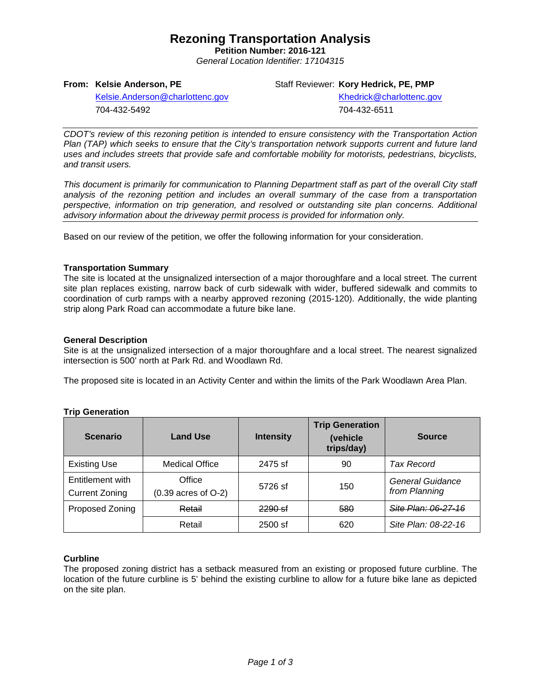# **Rezoning Transportation Analysis**

**Petition Number: 2016-121** *General Location Identifier: 17104315*

**From: Kelsie Anderson, PE**

Staff Reviewer: **Kory Hedrick, PE, PMP**

[Kelsie.Anderson@charlottenc.gov](mailto:Kelsie.Anderson@charlottenc.gov) 704-432-5492

Khedrick@charlottenc.gov 704-432-6511

*CDOT's review of this rezoning petition is intended to ensure consistency with the Transportation Action Plan (TAP) which seeks to ensure that the City's transportation network supports current and future land uses and includes streets that provide safe and comfortable mobility for motorists, pedestrians, bicyclists, and transit users.*

*This document is primarily for communication to Planning Department staff as part of the overall City staff analysis of the rezoning petition and includes an overall summary of the case from a transportation perspective, information on trip generation, and resolved or outstanding site plan concerns. Additional advisory information about the driveway permit process is provided for information only.*

Based on our review of the petition, we offer the following information for your consideration.

#### **Transportation Summary**

The site is located at the unsignalized intersection of a major thoroughfare and a local street. The current site plan replaces existing, narrow back of curb sidewalk with wider, buffered sidewalk and commits to coordination of curb ramps with a nearby approved rezoning (2015-120). Additionally, the wide planting strip along Park Road can accommodate a future bike lane.

#### **General Description**

Site is at the unsignalized intersection of a major thoroughfare and a local street. The nearest signalized intersection is 500' north at Park Rd. and Woodlawn Rd.

The proposed site is located in an Activity Center and within the limits of the Park Woodlawn Area Plan.

| <b>Scenario</b>                           | <b>Land Use</b>                   | <b>Intensity</b> | <b>Trip Generation</b><br>(vehicle<br>trips/day) | <b>Source</b>                     |
|-------------------------------------------|-----------------------------------|------------------|--------------------------------------------------|-----------------------------------|
| <b>Existing Use</b>                       | <b>Medical Office</b>             | 2475 sf          | 90                                               | Tax Record                        |
| Entitlement with<br><b>Current Zoning</b> | Office<br>$(0.39$ acres of $O-2)$ | 5726 sf          | 150                                              | General Guidance<br>from Planning |
| Proposed Zoning                           | Retail                            | $2290$ sf        | 580                                              | Site Plan: 06-27-16               |
|                                           | Retail                            | $2500$ sf        | 620                                              | Site Plan: 08-22-16               |

## **Trip Generation**

#### **Curbline**

The proposed zoning district has a setback measured from an existing or proposed future curbline. The location of the future curbline is 5' behind the existing curbline to allow for a future bike lane as depicted on the site plan.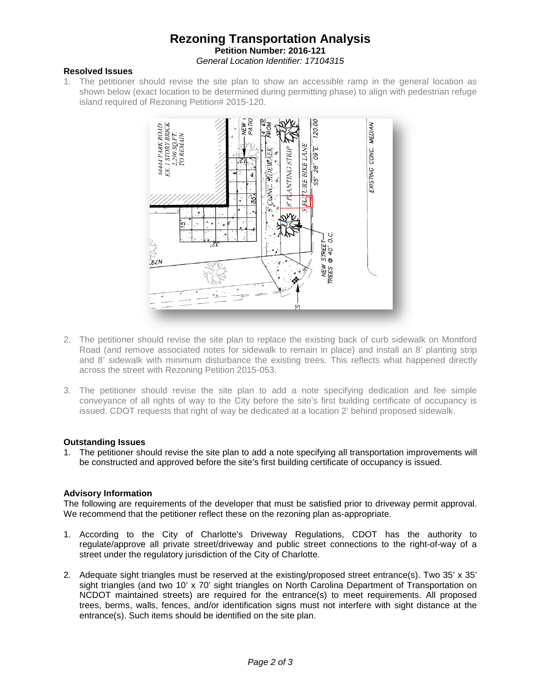## **Rezoning Transportation Analysis Petition Number: 2016-121** *General Location Identifier: 17104315*

#### **Resolved Issues**

1. The petitioner should revise the site plan to show an accessible ramp in the general location as shown below (exact location to be determined during permitting phase) to align with pedestrian refuge island required of Rezoning Petition# 2015-120.



- 2. The petitioner should revise the site plan to replace the existing back of curb sidewalk on Montford Road (and remove associated notes for sidewalk to remain in place) and install an 8' planting strip and 8' sidewalk with minimum disturbance the existing trees. This reflects what happened directly across the street with Rezoning Petition 2015-053.
- 3. The petitioner should revise the site plan to add a note specifying dedication and fee simple conveyance of all rights of way to the City before the site's first building certificate of occupancy is issued. CDOT requests that right of way be dedicated at a location 2' behind proposed sidewalk.

## **Outstanding Issues**

1. The petitioner should revise the site plan to add a note specifying all transportation improvements will be constructed and approved before the site's first building certificate of occupancy is issued.

## **Advisory Information**

The following are requirements of the developer that must be satisfied prior to driveway permit approval. We recommend that the petitioner reflect these on the rezoning plan as-appropriate.

- 1. According to the City of Charlotte's Driveway Regulations, CDOT has the authority to regulate/approve all private street/driveway and public street connections to the right-of-way of a street under the regulatory jurisdiction of the City of Charlotte.
- 2. Adequate sight triangles must be reserved at the existing/proposed street entrance(s). Two 35' x 35' sight triangles (and two 10' x 70' sight triangles on North Carolina Department of Transportation on NCDOT maintained streets) are required for the entrance(s) to meet requirements. All proposed trees, berms, walls, fences, and/or identification signs must not interfere with sight distance at the entrance(s). Such items should be identified on the site plan.